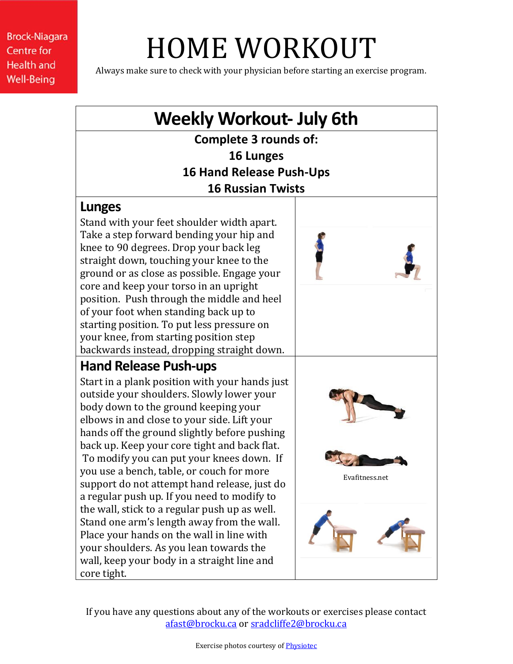**Brock-Niagara Centre for Health and Well-Being** 

## HOME WORKOUT

Always make sure to check with your physician before starting an exercise program.



If you have any questions about any of the workouts or exercises please contact [afast@brocku.ca](mailto:afast@brocku.ca) or [sradcliffe2@brocku.ca](mailto:sradcliffe2@brocku.ca)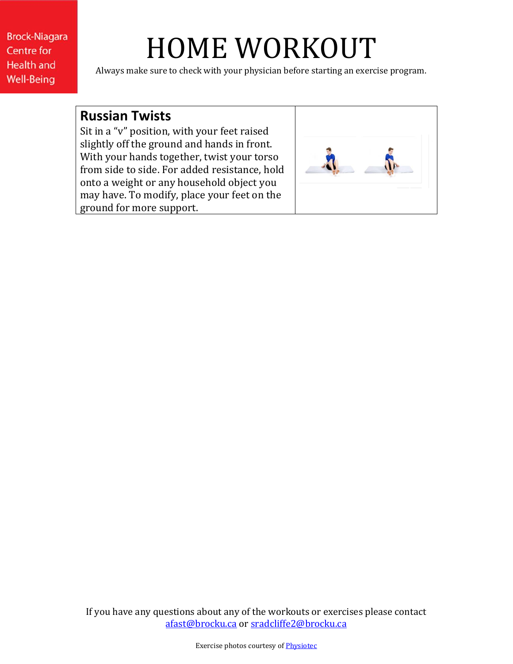**Brock-Niagara Centre for Health and Well-Being** 

## HOME WORKOUT

Always make sure to check with your physician before starting an exercise program.

## **Russian Twists**

Sit in a "v" position, with your feet raised slightly off the ground and hands in front. With your hands together, twist your torso from side to side. For added resistance, hold onto a weight or any household object you may have. To modify, place your feet on the ground for more support.